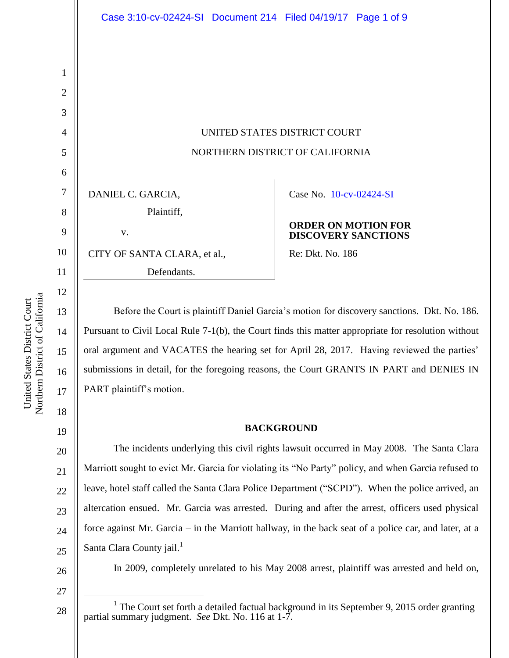UNITED STATES DISTRICT COURT NORTHERN DISTRICT OF CALIFORNIA

DANIEL C. GARCIA, Plaintiff, v. CITY OF SANTA CLARA, et al.,

Defendants.

Case No. [10-cv-02424-SI](https://ecf.cand.uscourts.gov/cgi-bin/DktRpt.pl?228199) 

### **ORDER ON MOTION FOR DISCOVERY SANCTIONS**

Re: Dkt. No. 186

Before the Court is plaintiff Daniel Garcia's motion for discovery sanctions. Dkt. No. 186. Pursuant to Civil Local Rule 7-1(b), the Court finds this matter appropriate for resolution without oral argument and VACATES the hearing set for April 28, 2017. Having reviewed the parties' submissions in detail, for the foregoing reasons, the Court GRANTS IN PART and DENIES IN PART plaintiff's motion.

## **BACKGROUND**

20 22 23 24 25 The incidents underlying this civil rights lawsuit occurred in May 2008. The Santa Clara Marriott sought to evict Mr. Garcia for violating its "No Party" policy, and when Garcia refused to leave, hotel staff called the Santa Clara Police Department ("SCPD"). When the police arrived, an altercation ensued. Mr. Garcia was arrested. During and after the arrest, officers used physical force against Mr. Garcia – in the Marriott hallway, in the back seat of a police car, and later, at a Santa Clara County jail.<sup>1</sup>

26

In 2009, completely unrelated to his May 2008 arrest, plaintiff was arrested and held on,

28

27

 $\overline{a}$ 

Northern District of California Northern District of California United States District Court United States District Court

1

2

3

4

5

6

7

8

9

10

11

12

13

14

15

16

17

18

19

<sup>&</sup>lt;sup>1</sup> The Court set forth a detailed factual background in its September 9, 2015 order granting partial summary judgment. *See* Dkt. No. 116 at 1-7.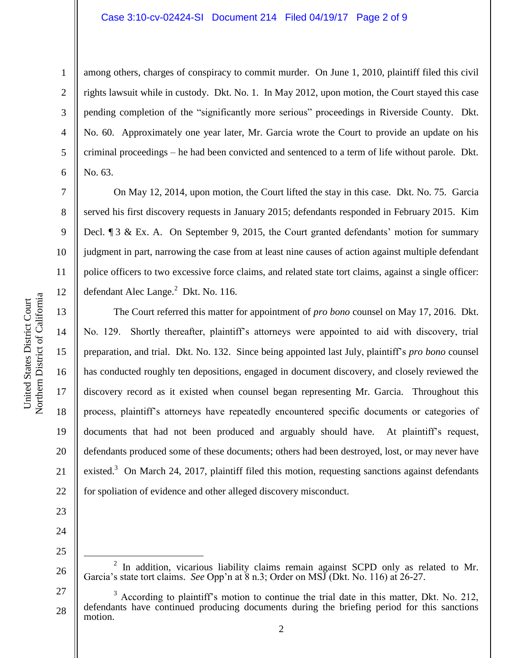### Case 3:10-cv-02424-SI Document 214 Filed 04/19/17 Page 2 of 9

2 3

4

5

6

7

8

9

10

11

12

13

14

15

16

17

18

19

20

21

22

1

among others, charges of conspiracy to commit murder. On June 1, 2010, plaintiff filed this civil rights lawsuit while in custody. Dkt. No. 1. In May 2012, upon motion, the Court stayed this case pending completion of the "significantly more serious" proceedings in Riverside County. Dkt. No. 60. Approximately one year later, Mr. Garcia wrote the Court to provide an update on his criminal proceedings – he had been convicted and sentenced to a term of life without parole. Dkt. No. 63.

On May 12, 2014, upon motion, the Court lifted the stay in this case. Dkt. No. 75. Garcia served his first discovery requests in January 2015; defendants responded in February 2015. Kim Decl. ¶ 3 & Ex. A. On September 9, 2015, the Court granted defendants' motion for summary judgment in part, narrowing the case from at least nine causes of action against multiple defendant police officers to two excessive force claims, and related state tort claims, against a single officer: defendant Alec Lange. $^{2}$  Dkt. No. 116.

The Court referred this matter for appointment of *pro bono* counsel on May 17, 2016. Dkt. No. 129. Shortly thereafter, plaintiff's attorneys were appointed to aid with discovery, trial preparation, and trial. Dkt. No. 132. Since being appointed last July, plaintiff's *pro bono* counsel has conducted roughly ten depositions, engaged in document discovery, and closely reviewed the discovery record as it existed when counsel began representing Mr. Garcia. Throughout this process, plaintiff's attorneys have repeatedly encountered specific documents or categories of documents that had not been produced and arguably should have. At plaintiff's request, defendants produced some of these documents; others had been destroyed, lost, or may never have existed.<sup>3</sup> On March 24, 2017, plaintiff filed this motion, requesting sanctions against defendants for spoliation of evidence and other alleged discovery misconduct.

23 24

25

 $\overline{a}$ 

<sup>26</sup>  $2$  In addition, vicarious liability claims remain against SCPD only as related to Mr. Garcia's state tort claims. *See* Opp'n at 8 n.3; Order on MSJ (Dkt. No. 116) at 26-27.

<sup>27</sup> 28  $3$  According to plaintiff's motion to continue the trial date in this matter, Dkt. No. 212, defendants have continued producing documents during the briefing period for this sanctions motion.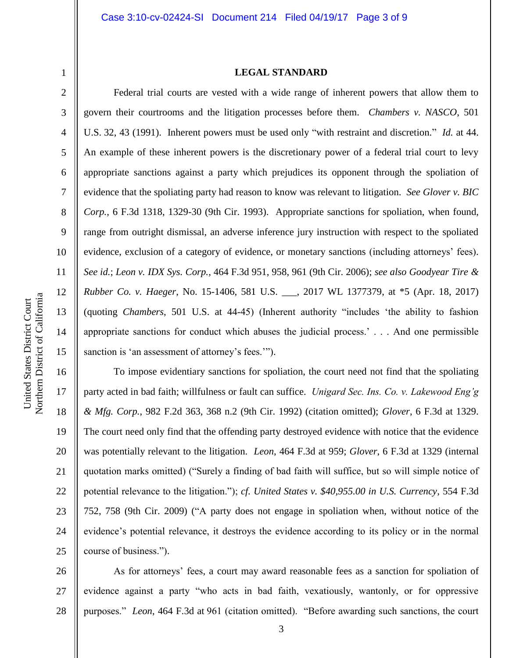1 2 3

4

5

6

7

8

9

10

11

12

13

14

15

16

17

18

19

20

21

22

23

24

25

#### **LEGAL STANDARD**

Federal trial courts are vested with a wide range of inherent powers that allow them to govern their courtrooms and the litigation processes before them. *Chambers v. NASCO*, 501 U.S. 32, 43 (1991). Inherent powers must be used only "with restraint and discretion." *Id.* at 44. An example of these inherent powers is the discretionary power of a federal trial court to levy appropriate sanctions against a party which prejudices its opponent through the spoliation of evidence that the spoliating party had reason to know was relevant to litigation. *See Glover v. BIC Corp.*, 6 F.3d 1318, 1329-30 (9th Cir. 1993). Appropriate sanctions for spoliation, when found, range from outright dismissal, an adverse inference jury instruction with respect to the spoliated evidence, exclusion of a category of evidence, or monetary sanctions (including attorneys' fees). *See id.*; *Leon v. IDX Sys. Corp.*, 464 F.3d 951, 958, 961 (9th Cir. 2006); *see also Goodyear Tire & Rubber Co. v. Haeger*, No. 15-1406, 581 U.S. \_\_\_, 2017 WL 1377379, at \*5 (Apr. 18, 2017) (quoting *Chambers*, 501 U.S. at 44-45) (Inherent authority "includes 'the ability to fashion appropriate sanctions for conduct which abuses the judicial process.' . . . And one permissible sanction is 'an assessment of attorney's fees.'").

To impose evidentiary sanctions for spoliation, the court need not find that the spoliating party acted in bad faith; willfulness or fault can suffice. *Unigard Sec. Ins. Co. v. Lakewood Eng'g & Mfg. Corp.*, 982 F.2d 363, 368 n.2 (9th Cir. 1992) (citation omitted); *Glover*, 6 F.3d at 1329. The court need only find that the offending party destroyed evidence with notice that the evidence was potentially relevant to the litigation. *Leon*, 464 F.3d at 959; *Glover*, 6 F.3d at 1329 (internal quotation marks omitted) ("Surely a finding of bad faith will suffice, but so will simple notice of potential relevance to the litigation."); *cf. United States v. \$40,955.00 in U.S. Currency*, 554 F.3d 752, 758 (9th Cir. 2009) ("A party does not engage in spoliation when, without notice of the evidence's potential relevance, it destroys the evidence according to its policy or in the normal course of business.").

26 27 28 As for attorneys' fees, a court may award reasonable fees as a sanction for spoliation of evidence against a party "who acts in bad faith, vexatiously, wantonly, or for oppressive purposes." *Leon*, 464 F.3d at 961 (citation omitted). "Before awarding such sanctions, the court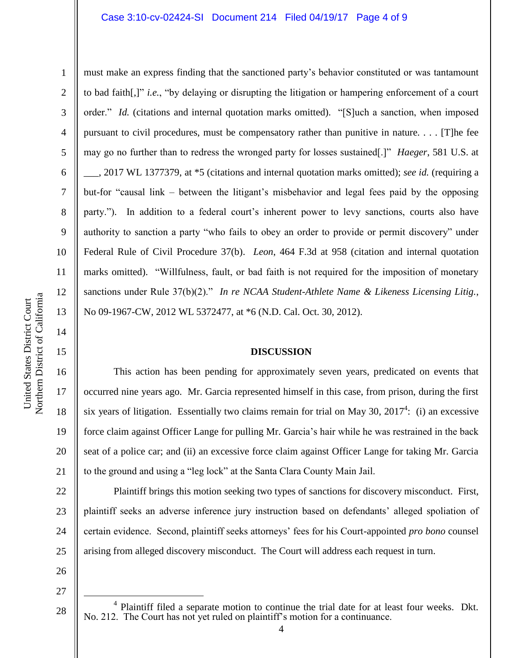14

15

16

17

18

19

20

21

22

23

24

1 2 3 4 5 6 7 8 9 10 11 12 13 must make an express finding that the sanctioned party's behavior constituted or was tantamount to bad faith[,]" *i.e.*, "by delaying or disrupting the litigation or hampering enforcement of a court order." *Id.* (citations and internal quotation marks omitted). "[S]uch a sanction, when imposed pursuant to civil procedures, must be compensatory rather than punitive in nature. . . . [T]he fee may go no further than to redress the wronged party for losses sustained[.]" *Haeger*, 581 U.S. at \_\_\_, 2017 WL 1377379, at \*5 (citations and internal quotation marks omitted); *see id.* (requiring a but-for "causal link – between the litigant's misbehavior and legal fees paid by the opposing party."). In addition to a federal court's inherent power to levy sanctions, courts also have authority to sanction a party "who fails to obey an order to provide or permit discovery" under Federal Rule of Civil Procedure 37(b). *Leon*, 464 F.3d at 958 (citation and internal quotation marks omitted). "Willfulness, fault, or bad faith is not required for the imposition of monetary sanctions under Rule 37(b)(2)." *In re NCAA Student-Athlete Name & Likeness Licensing Litig.*, No 09-1967-CW, 2012 WL 5372477, at \*6 (N.D. Cal. Oct. 30, 2012).

### **DISCUSSION**

This action has been pending for approximately seven years, predicated on events that occurred nine years ago. Mr. Garcia represented himself in this case, from prison, during the first six years of litigation. Essentially two claims remain for trial on May 30,  $2017<sup>4</sup>$ : (i) an excessive force claim against Officer Lange for pulling Mr. Garcia's hair while he was restrained in the back seat of a police car; and (ii) an excessive force claim against Officer Lange for taking Mr. Garcia to the ground and using a "leg lock" at the Santa Clara County Main Jail.

Plaintiff brings this motion seeking two types of sanctions for discovery misconduct. First, plaintiff seeks an adverse inference jury instruction based on defendants' alleged spoliation of certain evidence. Second, plaintiff seeks attorneys' fees for his Court-appointed *pro bono* counsel arising from alleged discovery misconduct. The Court will address each request in turn.

- 25 26
- 27

 $\overline{a}$ 

<sup>&</sup>lt;sup>4</sup> Plaintiff filed a separate motion to continue the trial date for at least four weeks. Dkt. No. 212. The Court has not yet ruled on plaintiff's motion for a continuance.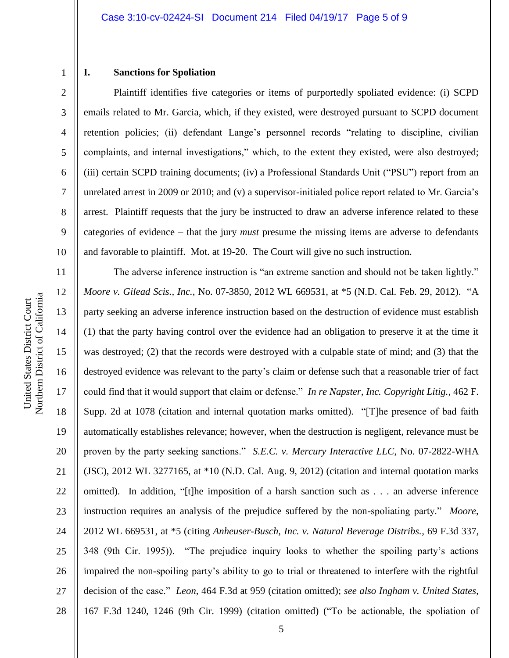## 2 3

4

5

6

7

8

9

1

## **I. Sanctions for Spoliation**

Plaintiff identifies five categories or items of purportedly spoliated evidence: (i) SCPD emails related to Mr. Garcia, which, if they existed, were destroyed pursuant to SCPD document retention policies; (ii) defendant Lange's personnel records "relating to discipline, civilian complaints, and internal investigations," which, to the extent they existed, were also destroyed; (iii) certain SCPD training documents; (iv) a Professional Standards Unit ("PSU") report from an unrelated arrest in 2009 or 2010; and (v) a supervisor-initialed police report related to Mr. Garcia's arrest. Plaintiff requests that the jury be instructed to draw an adverse inference related to these categories of evidence – that the jury *must* presume the missing items are adverse to defendants and favorable to plaintiff. Mot. at 19-20. The Court will give no such instruction.

Northern District of California Northern District of California United States District Court United States District Court

10 11 12 13 14 15 16 17 18 19 20 21 22 23 24 25 26 27 28 The adverse inference instruction is "an extreme sanction and should not be taken lightly." *Moore v. Gilead Scis., Inc.*, No. 07-3850, 2012 WL 669531, at \*5 (N.D. Cal. Feb. 29, 2012). "A party seeking an adverse inference instruction based on the destruction of evidence must establish (1) that the party having control over the evidence had an obligation to preserve it at the time it was destroyed; (2) that the records were destroyed with a culpable state of mind; and (3) that the destroyed evidence was relevant to the party's claim or defense such that a reasonable trier of fact could find that it would support that claim or defense." *In re Napster, Inc. Copyright Litig.*, 462 F. Supp. 2d at 1078 (citation and internal quotation marks omitted). "[T]he presence of bad faith automatically establishes relevance; however, when the destruction is negligent, relevance must be proven by the party seeking sanctions." *S.E.C. v. Mercury Interactive LLC*, No. 07-2822-WHA (JSC), 2012 WL 3277165, at \*10 (N.D. Cal. Aug. 9, 2012) (citation and internal quotation marks omitted).In addition, "[t]he imposition of a harsh sanction such as . . . an adverse inference instruction requires an analysis of the prejudice suffered by the non-spoliating party." *Moore*, 2012 WL 669531, at \*5 (citing *Anheuser-Busch, Inc. v. Natural Beverage Distribs.*, 69 F.3d 337, 348 (9th Cir. 1995)). "The prejudice inquiry looks to whether the spoiling party's actions impaired the non-spoiling party's ability to go to trial or threatened to interfere with the rightful decision of the case." *Leon*, 464 F.3d at 959 (citation omitted); *see also Ingham v. United States*, 167 F.3d 1240, 1246 (9th Cir. 1999) (citation omitted) ("To be actionable, the spoliation of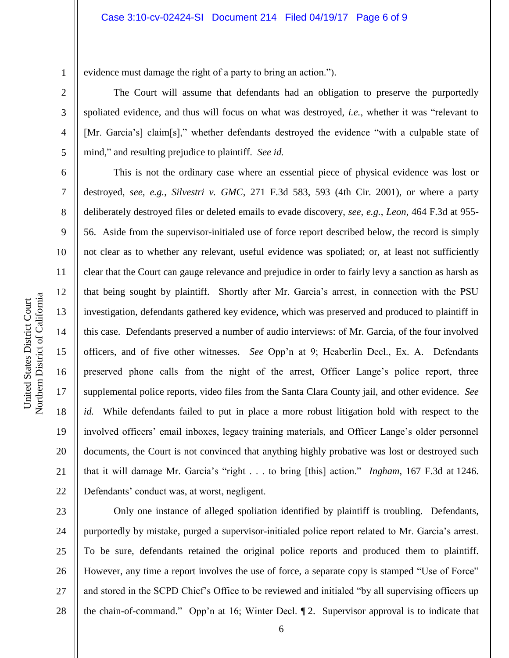evidence must damage the right of a party to bring an action.").

The Court will assume that defendants had an obligation to preserve the purportedly spoliated evidence, and thus will focus on what was destroyed, *i.e.*, whether it was "relevant to [Mr. Garcia's] claim[s]," whether defendants destroyed the evidence "with a culpable state of mind," and resulting prejudice to plaintiff. *See id.*

This is not the ordinary case where an essential piece of physical evidence was lost or destroyed, *see, e.g.*, *Silvestri v. GMC*, 271 F.3d 583, 593 (4th Cir. 2001), or where a party deliberately destroyed files or deleted emails to evade discovery, *see, e.g.*, *Leon*, 464 F.3d at 955- 56. Aside from the supervisor-initialed use of force report described below, the record is simply not clear as to whether any relevant, useful evidence was spoliated; or, at least not sufficiently clear that the Court can gauge relevance and prejudice in order to fairly levy a sanction as harsh as that being sought by plaintiff. Shortly after Mr. Garcia's arrest, in connection with the PSU investigation, defendants gathered key evidence, which was preserved and produced to plaintiff in this case. Defendants preserved a number of audio interviews: of Mr. Garcia, of the four involved officers, and of five other witnesses. *See* Opp'n at 9; Heaberlin Decl., Ex. A. Defendants preserved phone calls from the night of the arrest, Officer Lange's police report, three supplemental police reports, video files from the Santa Clara County jail, and other evidence. *See id.* While defendants failed to put in place a more robust litigation hold with respect to the involved officers' email inboxes, legacy training materials, and Officer Lange's older personnel documents, the Court is not convinced that anything highly probative was lost or destroyed such that it will damage Mr. Garcia's "right . . . to bring [this] action." *Ingham*, 167 F.3d at 1246. Defendants' conduct was, at worst, negligent.

23 24 25 26 27 28 Only one instance of alleged spoliation identified by plaintiff is troubling. Defendants, purportedly by mistake, purged a supervisor-initialed police report related to Mr. Garcia's arrest. To be sure, defendants retained the original police reports and produced them to plaintiff. However, any time a report involves the use of force, a separate copy is stamped "Use of Force" and stored in the SCPD Chief's Office to be reviewed and initialed "by all supervising officers up the chain-of-command." Opp'n at 16; Winter Decl. ¶ 2. Supervisor approval is to indicate that

1

2

3

4

5

6

7

8

9

10

11

12

13

14

15

16

17

18

19

20

21

22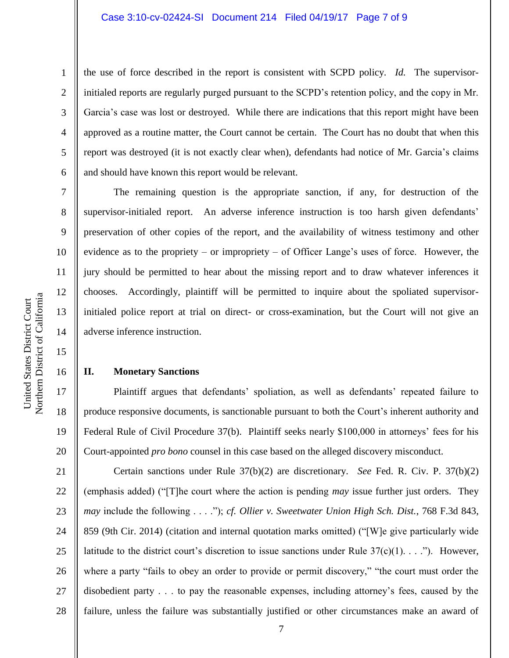the use of force described in the report is consistent with SCPD policy. *Id.* The supervisorinitialed reports are regularly purged pursuant to the SCPD's retention policy, and the copy in Mr. Garcia's case was lost or destroyed. While there are indications that this report might have been approved as a routine matter, the Court cannot be certain. The Court has no doubt that when this report was destroyed (it is not exactly clear when), defendants had notice of Mr. Garcia's claims and should have known this report would be relevant.

The remaining question is the appropriate sanction, if any, for destruction of the supervisor-initialed report. An adverse inference instruction is too harsh given defendants' preservation of other copies of the report, and the availability of witness testimony and other evidence as to the propriety – or impropriety – of Officer Lange's uses of force. However, the jury should be permitted to hear about the missing report and to draw whatever inferences it chooses. Accordingly, plaintiff will be permitted to inquire about the spoliated supervisorinitialed police report at trial on direct- or cross-examination, but the Court will not give an adverse inference instruction.

### **II. Monetary Sanctions**

Plaintiff argues that defendants' spoliation, as well as defendants' repeated failure to produce responsive documents, is sanctionable pursuant to both the Court's inherent authority and Federal Rule of Civil Procedure 37(b). Plaintiff seeks nearly \$100,000 in attorneys' fees for his Court-appointed *pro bono* counsel in this case based on the alleged discovery misconduct.

21 22 23 24 25 26 27 28 Certain sanctions under Rule 37(b)(2) are discretionary. *See* Fed. R. Civ. P. 37(b)(2) (emphasis added) ("[T]he court where the action is pending *may* issue further just orders. They *may* include the following . . . ."); *cf. Ollier v. Sweetwater Union High Sch. Dist.*, 768 F.3d 843, 859 (9th Cir. 2014) (citation and internal quotation marks omitted) ("[W]e give particularly wide latitude to the district court's discretion to issue sanctions under Rule  $37(c)(1)$ ...."). However, where a party "fails to obey an order to provide or permit discovery," "the court must order the disobedient party . . . to pay the reasonable expenses, including attorney's fees, caused by the failure, unless the failure was substantially justified or other circumstances make an award of

1

2

3

4

5

6

7

8

9

10

11

12

13

14

15

16

17

18

19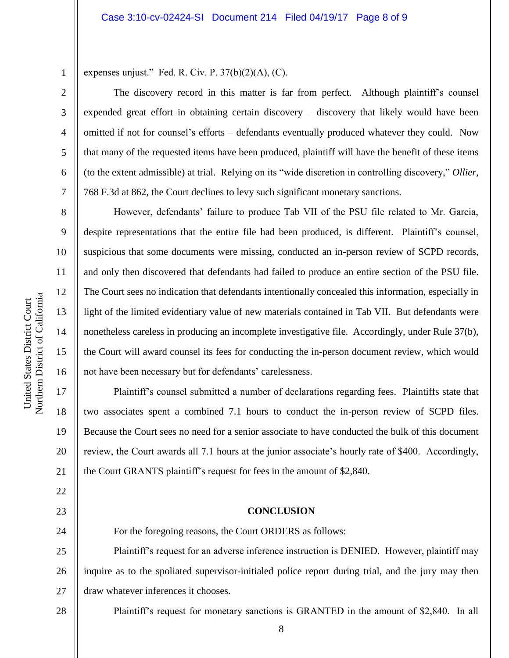expenses unjust." Fed. R. Civ. P.  $37(b)(2)(A)$ , (C).

The discovery record in this matter is far from perfect. Although plaintiff's counsel expended great effort in obtaining certain discovery – discovery that likely would have been omitted if not for counsel's efforts – defendants eventually produced whatever they could. Now that many of the requested items have been produced, plaintiff will have the benefit of these items (to the extent admissible) at trial. Relying on its "wide discretion in controlling discovery," *Ollier*, 768 F.3d at 862, the Court declines to levy such significant monetary sanctions.

However, defendants' failure to produce Tab VII of the PSU file related to Mr. Garcia, despite representations that the entire file had been produced, is different. Plaintiff's counsel, suspicious that some documents were missing, conducted an in-person review of SCPD records, and only then discovered that defendants had failed to produce an entire section of the PSU file. The Court sees no indication that defendants intentionally concealed this information, especially in light of the limited evidentiary value of new materials contained in Tab VII. But defendants were nonetheless careless in producing an incomplete investigative file. Accordingly, under Rule 37(b), the Court will award counsel its fees for conducting the in-person document review, which would not have been necessary but for defendants' carelessness.

Plaintiff's counsel submitted a number of declarations regarding fees. Plaintiffs state that two associates spent a combined 7.1 hours to conduct the in-person review of SCPD files. Because the Court sees no need for a senior associate to have conducted the bulk of this document review, the Court awards all 7.1 hours at the junior associate's hourly rate of \$400. Accordingly, the Court GRANTS plaintiff's request for fees in the amount of \$2,840.

### **CONCLUSION**

24 25 26 27 For the foregoing reasons, the Court ORDERS as follows: Plaintiff's request for an adverse inference instruction is DENIED. However, plaintiff may inquire as to the spoliated supervisor-initialed police report during trial, and the jury may then draw whatever inferences it chooses.

Plaintiff's request for monetary sanctions is GRANTED in the amount of \$2,840. In all

1

2

3

4

5

6

7

8

9

10

11

12

13

14

15

16

17

18

19

20

21

22

23